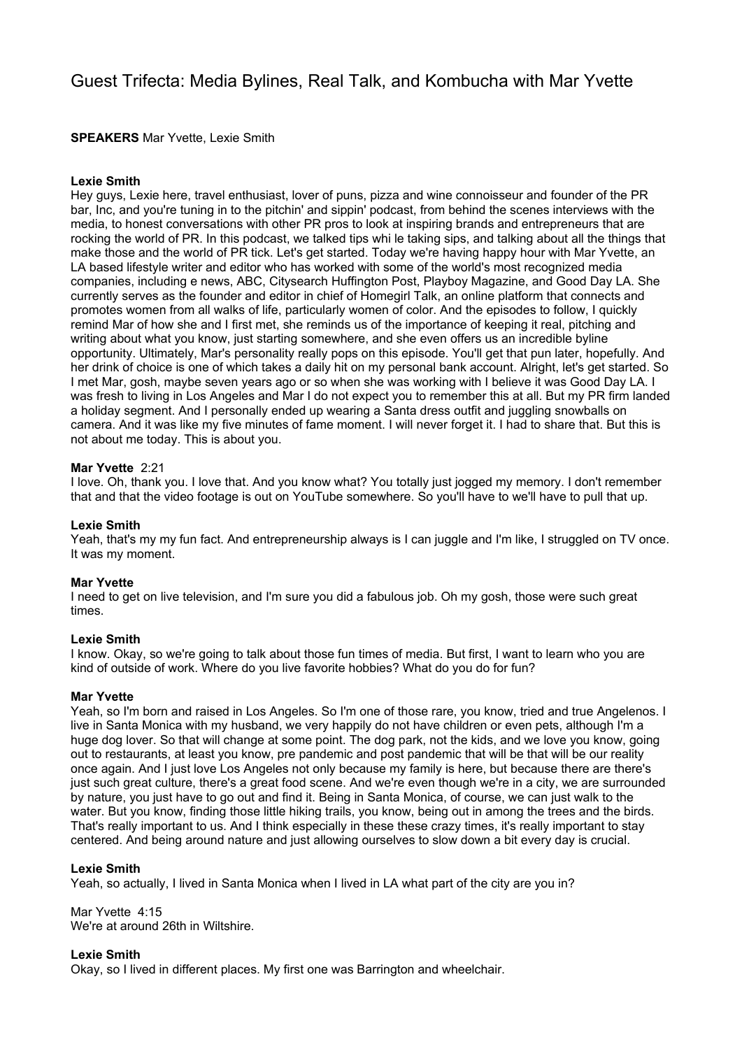# Guest Trifecta: Media Bylines, Real Talk, and Kombucha with Mar Yvette

**SPEAKERS** Mar Yvette, Lexie Smith

# **Lexie Smith**

Hey guys, Lexie here, travel enthusiast, lover of puns, pizza and wine connoisseur and founder of the PR bar, Inc, and you're tuning in to the pitchin' and sippin' podcast, from behind the scenes interviews with the media, to honest conversations with other PR pros to look at inspiring brands and entrepreneurs that are rocking the world of PR. In this podcast, we talked tips whi le taking sips, and talking about all the things that make those and the world of PR tick. Let's get started. Today we're having happy hour with Mar Yvette, an LA based lifestyle writer and editor who has worked with some of the world's most recognized media companies, including e news, ABC, Citysearch Huffington Post, Playboy Magazine, and Good Day LA. She currently serves as the founder and editor in chief of Homegirl Talk, an online platform that connects and promotes women from all walks of life, particularly women of color. And the episodes to follow, I quickly remind Mar of how she and I first met, she reminds us of the importance of keeping it real, pitching and writing about what you know, just starting somewhere, and she even offers us an incredible byline opportunity. Ultimately, Mar's personality really pops on this episode. You'll get that pun later, hopefully. And her drink of choice is one of which takes a daily hit on my personal bank account. Alright, let's get started. So I met Mar, gosh, maybe seven years ago or so when she was working with I believe it was Good Day LA. I was fresh to living in Los Angeles and Mar I do not expect you to remember this at all. But my PR firm landed a holiday segment. And I personally ended up wearing a Santa dress outfit and juggling snowballs on camera. And it was like my five minutes of fame moment. I will never forget it. I had to share that. But this is not about me today. This is about you.

# **Mar Yvette** 2:21

I love. Oh, thank you. I love that. And you know what? You totally just jogged my memory. I don't remember that and that the video footage is out on YouTube somewhere. So you'll have to we'll have to pull that up.

# **Lexie Smith**

Yeah, that's my my fun fact. And entrepreneurship always is I can juggle and I'm like, I struggled on TV once. It was my moment.

# **Mar Yvette**

I need to get on live television, and I'm sure you did a fabulous job. Oh my gosh, those were such great times.

# **Lexie Smith**

I know. Okay, so we're going to talk about those fun times of media. But first, I want to learn who you are kind of outside of work. Where do you live favorite hobbies? What do you do for fun?

# **Mar Yvette**

Yeah, so I'm born and raised in Los Angeles. So I'm one of those rare, you know, tried and true Angelenos. I live in Santa Monica with my husband, we very happily do not have children or even pets, although I'm a huge dog lover. So that will change at some point. The dog park, not the kids, and we love you know, going out to restaurants, at least you know, pre pandemic and post pandemic that will be that will be our reality once again. And I just love Los Angeles not only because my family is here, but because there are there's just such great culture, there's a great food scene. And we're even though we're in a city, we are surrounded by nature, you just have to go out and find it. Being in Santa Monica, of course, we can just walk to the water. But you know, finding those little hiking trails, you know, being out in among the trees and the birds. That's really important to us. And I think especially in these these crazy times, it's really important to stay centered. And being around nature and just allowing ourselves to slow down a bit every day is crucial.

# **Lexie Smith**

Yeah, so actually, I lived in Santa Monica when I lived in LA what part of the city are you in?

Mar Yvette 4:15 We're at around 26th in Wiltshire.

# **Lexie Smith**

Okay, so I lived in different places. My first one was Barrington and wheelchair.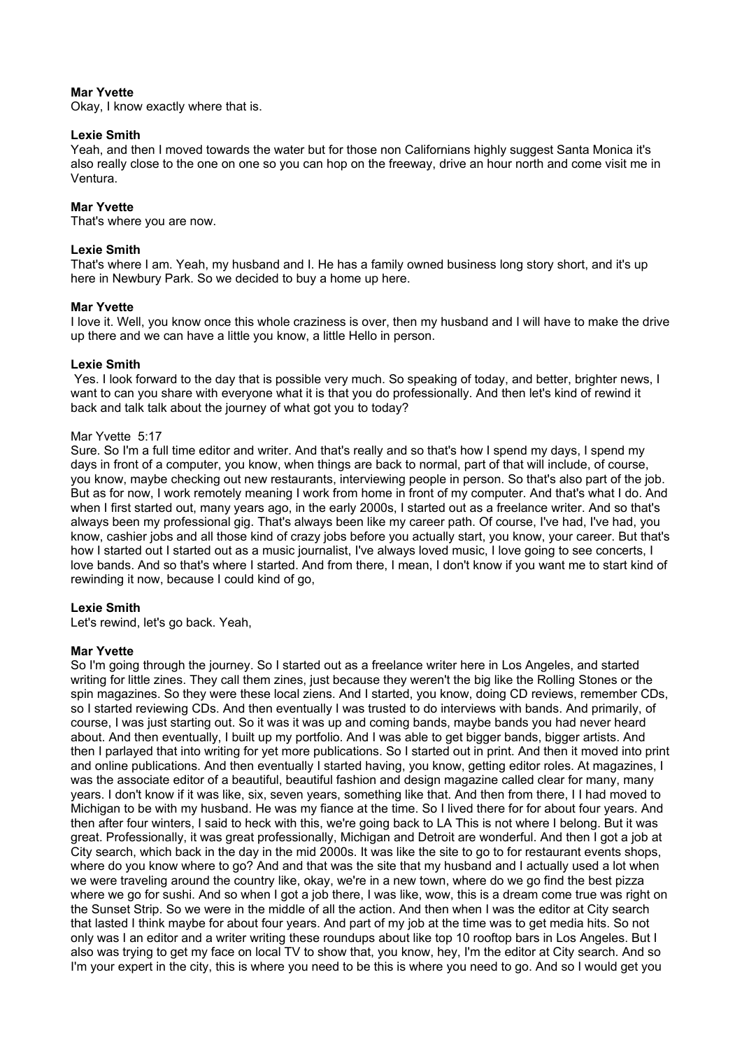# **Mar Yvette**

Okay, I know exactly where that is.

# **Lexie Smith**

Yeah, and then I moved towards the water but for those non Californians highly suggest Santa Monica it's also really close to the one on one so you can hop on the freeway, drive an hour north and come visit me in Ventura.

# **Mar Yvette**

That's where you are now.

# **Lexie Smith**

That's where I am. Yeah, my husband and I. He has a family owned business long story short, and it's up here in Newbury Park. So we decided to buy a home up here.

# **Mar Yvette**

I love it. Well, you know once this whole craziness is over, then my husband and I will have to make the drive up there and we can have a little you know, a little Hello in person.

# **Lexie Smith**

 Yes. I look forward to the day that is possible very much. So speaking of today, and better, brighter news, I want to can you share with everyone what it is that you do professionally. And then let's kind of rewind it back and talk talk about the journey of what got you to today?

# Mar Yvette 5:17

Sure. So I'm a full time editor and writer. And that's really and so that's how I spend my days, I spend my days in front of a computer, you know, when things are back to normal, part of that will include, of course, you know, maybe checking out new restaurants, interviewing people in person. So that's also part of the job. But as for now, I work remotely meaning I work from home in front of my computer. And that's what I do. And when I first started out, many years ago, in the early 2000s, I started out as a freelance writer. And so that's always been my professional gig. That's always been like my career path. Of course, I've had, I've had, you know, cashier jobs and all those kind of crazy jobs before you actually start, you know, your career. But that's how I started out I started out as a music journalist, I've always loved music, I love going to see concerts, I love bands. And so that's where I started. And from there, I mean, I don't know if you want me to start kind of rewinding it now, because I could kind of go,

# **Lexie Smith**

Let's rewind, let's go back. Yeah,

# **Mar Yvette**

So I'm going through the journey. So I started out as a freelance writer here in Los Angeles, and started writing for little zines. They call them zines, just because they weren't the big like the Rolling Stones or the spin magazines. So they were these local ziens. And I started, you know, doing CD reviews, remember CDs, so I started reviewing CDs. And then eventually I was trusted to do interviews with bands. And primarily, of course, I was just starting out. So it was it was up and coming bands, maybe bands you had never heard about. And then eventually, I built up my portfolio. And I was able to get bigger bands, bigger artists. And then I parlayed that into writing for yet more publications. So I started out in print. And then it moved into print and online publications. And then eventually I started having, you know, getting editor roles. At magazines, I was the associate editor of a beautiful, beautiful fashion and design magazine called clear for many, many years. I don't know if it was like, six, seven years, something like that. And then from there, I I had moved to Michigan to be with my husband. He was my fiance at the time. So I lived there for for about four years. And then after four winters, I said to heck with this, we're going back to LA This is not where I belong. But it was great. Professionally, it was great professionally, Michigan and Detroit are wonderful. And then I got a job at City search, which back in the day in the mid 2000s. It was like the site to go to for restaurant events shops, where do you know where to go? And and that was the site that my husband and I actually used a lot when we were traveling around the country like, okay, we're in a new town, where do we go find the best pizza where we go for sushi. And so when I got a job there, I was like, wow, this is a dream come true was right on the Sunset Strip. So we were in the middle of all the action. And then when I was the editor at City search that lasted I think maybe for about four years. And part of my job at the time was to get media hits. So not only was I an editor and a writer writing these roundups about like top 10 rooftop bars in Los Angeles. But I also was trying to get my face on local TV to show that, you know, hey, I'm the editor at City search. And so I'm your expert in the city, this is where you need to be this is where you need to go. And so I would get you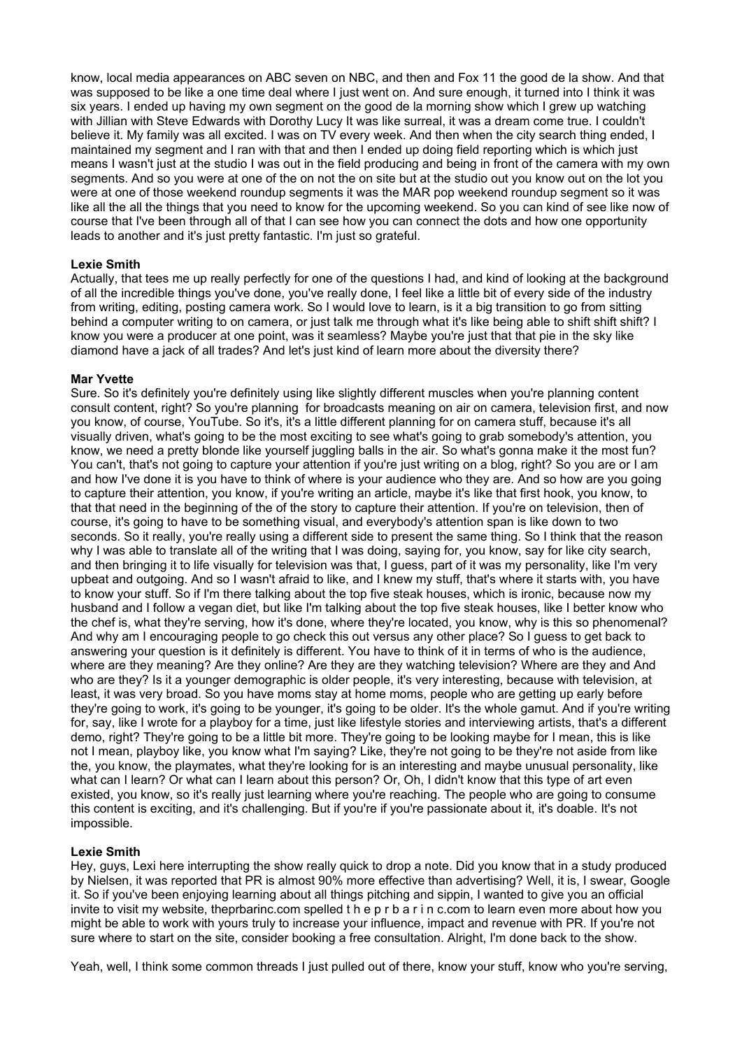know, local media appearances on ABC seven on NBC, and then and Fox 11 the good de la show. And that was supposed to be like a one time deal where I just went on. And sure enough, it turned into I think it was six years. I ended up having my own segment on the good de la morning show which I grew up watching with Jillian with Steve Edwards with Dorothy Lucy It was like surreal, it was a dream come true. I couldn't believe it. My family was all excited. I was on TV every week. And then when the city search thing ended, I maintained my segment and I ran with that and then I ended up doing field reporting which is which just means I wasn't just at the studio I was out in the field producing and being in front of the camera with my own segments. And so you were at one of the on not the on site but at the studio out you know out on the lot you were at one of those weekend roundup segments it was the MAR pop weekend roundup segment so it was like all the all the things that you need to know for the upcoming weekend. So you can kind of see like now of course that I've been through all of that I can see how you can connect the dots and how one opportunity leads to another and it's just pretty fantastic. I'm just so grateful.

# **Lexie Smith**

Actually, that tees me up really perfectly for one of the questions I had, and kind of looking at the background of all the incredible things you've done, you've really done, I feel like a little bit of every side of the industry from writing, editing, posting camera work. So I would love to learn, is it a big transition to go from sitting behind a computer writing to on camera, or just talk me through what it's like being able to shift shift shift? I know you were a producer at one point, was it seamless? Maybe you're just that that pie in the sky like diamond have a jack of all trades? And let's just kind of learn more about the diversity there?

# **Mar Yvette**

Sure. So it's definitely you're definitely using like slightly different muscles when you're planning content consult content, right? So you're planning for broadcasts meaning on air on camera, television first, and now you know, of course, YouTube. So it's, it's a little different planning for on camera stuff, because it's all visually driven, what's going to be the most exciting to see what's going to grab somebody's attention, you know, we need a pretty blonde like yourself juggling balls in the air. So what's gonna make it the most fun? You can't, that's not going to capture your attention if you're just writing on a blog, right? So you are or I am and how I've done it is you have to think of where is your audience who they are. And so how are you going to capture their attention, you know, if you're writing an article, maybe it's like that first hook, you know, to that that need in the beginning of the of the story to capture their attention. If you're on television, then of course, it's going to have to be something visual, and everybody's attention span is like down to two seconds. So it really, you're really using a different side to present the same thing. So I think that the reason why I was able to translate all of the writing that I was doing, saying for, you know, say for like city search, and then bringing it to life visually for television was that, I guess, part of it was my personality, like I'm very upbeat and outgoing. And so I wasn't afraid to like, and I knew my stuff, that's where it starts with, you have to know your stuff. So if I'm there talking about the top five steak houses, which is ironic, because now my husband and I follow a vegan diet, but like I'm talking about the top five steak houses, like I better know who the chef is, what they're serving, how it's done, where they're located, you know, why is this so phenomenal? And why am I encouraging people to go check this out versus any other place? So I guess to get back to answering your question is it definitely is different. You have to think of it in terms of who is the audience, where are they meaning? Are they online? Are they are they watching television? Where are they and And who are they? Is it a younger demographic is older people, it's very interesting, because with television, at least, it was very broad. So you have moms stay at home moms, people who are getting up early before they're going to work, it's going to be younger, it's going to be older. It's the whole gamut. And if you're writing for, say, like I wrote for a playboy for a time, just like lifestyle stories and interviewing artists, that's a different demo, right? They're going to be a little bit more. They're going to be looking maybe for I mean, this is like not I mean, playboy like, you know what I'm saying? Like, they're not going to be they're not aside from like the, you know, the playmates, what they're looking for is an interesting and maybe unusual personality, like what can I learn? Or what can I learn about this person? Or, Oh, I didn't know that this type of art even existed, you know, so it's really just learning where you're reaching. The people who are going to consume this content is exciting, and it's challenging. But if you're if you're passionate about it, it's doable. It's not impossible.

# **Lexie Smith**

Hey, guys, Lexi here interrupting the show really quick to drop a note. Did you know that in a study produced by Nielsen, it was reported that PR is almost 90% more effective than advertising? Well, it is, I swear, Google it. So if you've been enjoying learning about all things pitching and sippin, I wanted to give you an official invite to visit my website, theprbarinc.com spelled t h e p r b a r i n c.com to learn even more about how you might be able to work with yours truly to increase your influence, impact and revenue with PR. If you're not sure where to start on the site, consider booking a free consultation. Alright, I'm done back to the show.

Yeah, well, I think some common threads I just pulled out of there, know your stuff, know who you're serving,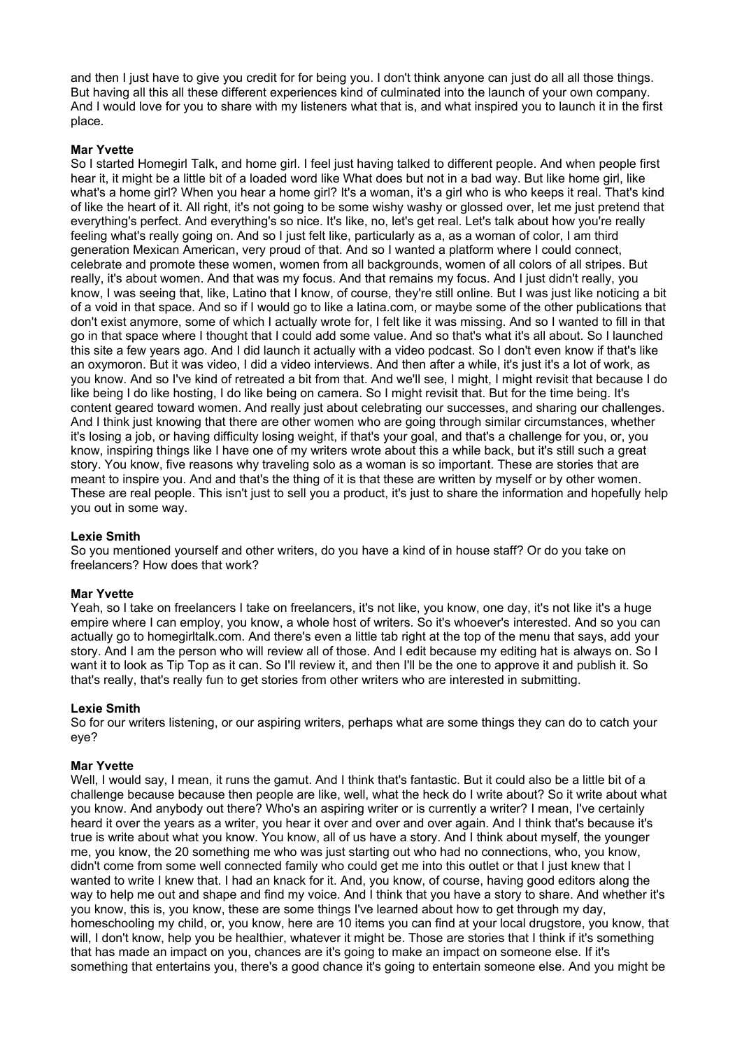and then I just have to give you credit for for being you. I don't think anyone can just do all all those things. But having all this all these different experiences kind of culminated into the launch of your own company. And I would love for you to share with my listeners what that is, and what inspired you to launch it in the first place.

# **Mar Yvette**

So I started Homegirl Talk, and home girl. I feel just having talked to different people. And when people first hear it, it might be a little bit of a loaded word like What does but not in a bad way. But like home girl, like what's a home girl? When you hear a home girl? It's a woman, it's a girl who is who keeps it real. That's kind of like the heart of it. All right, it's not going to be some wishy washy or glossed over, let me just pretend that everything's perfect. And everything's so nice. It's like, no, let's get real. Let's talk about how you're really feeling what's really going on. And so I just felt like, particularly as a, as a woman of color, I am third generation Mexican American, very proud of that. And so I wanted a platform where I could connect, celebrate and promote these women, women from all backgrounds, women of all colors of all stripes. But really, it's about women. And that was my focus. And that remains my focus. And I just didn't really, you know, I was seeing that, like, Latino that I know, of course, they're still online. But I was just like noticing a bit of a void in that space. And so if I would go to like a latina.com, or maybe some of the other publications that don't exist anymore, some of which I actually wrote for, I felt like it was missing. And so I wanted to fill in that go in that space where I thought that I could add some value. And so that's what it's all about. So I launched this site a few years ago. And I did launch it actually with a video podcast. So I don't even know if that's like an oxymoron. But it was video, I did a video interviews. And then after a while, it's just it's a lot of work, as you know. And so I've kind of retreated a bit from that. And we'll see, I might, I might revisit that because I do like being I do like hosting, I do like being on camera. So I might revisit that. But for the time being. It's content geared toward women. And really just about celebrating our successes, and sharing our challenges. And I think just knowing that there are other women who are going through similar circumstances, whether it's losing a job, or having difficulty losing weight, if that's your goal, and that's a challenge for you, or, you know, inspiring things like I have one of my writers wrote about this a while back, but it's still such a great story. You know, five reasons why traveling solo as a woman is so important. These are stories that are meant to inspire you. And and that's the thing of it is that these are written by myself or by other women. These are real people. This isn't just to sell you a product, it's just to share the information and hopefully help you out in some way.

# **Lexie Smith**

So you mentioned yourself and other writers, do you have a kind of in house staff? Or do you take on freelancers? How does that work?

# **Mar Yvette**

Yeah, so I take on freelancers I take on freelancers, it's not like, you know, one day, it's not like it's a huge empire where I can employ, you know, a whole host of writers. So it's whoever's interested. And so you can actually go to homegirltalk.com. And there's even a little tab right at the top of the menu that says, add your story. And I am the person who will review all of those. And I edit because my editing hat is always on. So I want it to look as Tip Top as it can. So I'll review it, and then I'll be the one to approve it and publish it. So that's really, that's really fun to get stories from other writers who are interested in submitting.

# **Lexie Smith**

So for our writers listening, or our aspiring writers, perhaps what are some things they can do to catch your eye?

# **Mar Yvette**

Well, I would say, I mean, it runs the gamut. And I think that's fantastic. But it could also be a little bit of a challenge because because then people are like, well, what the heck do I write about? So it write about what you know. And anybody out there? Who's an aspiring writer or is currently a writer? I mean, I've certainly heard it over the years as a writer, you hear it over and over and over again. And I think that's because it's true is write about what you know. You know, all of us have a story. And I think about myself, the younger me, you know, the 20 something me who was just starting out who had no connections, who, you know, didn't come from some well connected family who could get me into this outlet or that I just knew that I wanted to write I knew that. I had an knack for it. And, you know, of course, having good editors along the way to help me out and shape and find my voice. And I think that you have a story to share. And whether it's you know, this is, you know, these are some things I've learned about how to get through my day, homeschooling my child, or, you know, here are 10 items you can find at your local drugstore, you know, that will, I don't know, help you be healthier, whatever it might be. Those are stories that I think if it's something that has made an impact on you, chances are it's going to make an impact on someone else. If it's something that entertains you, there's a good chance it's going to entertain someone else. And you might be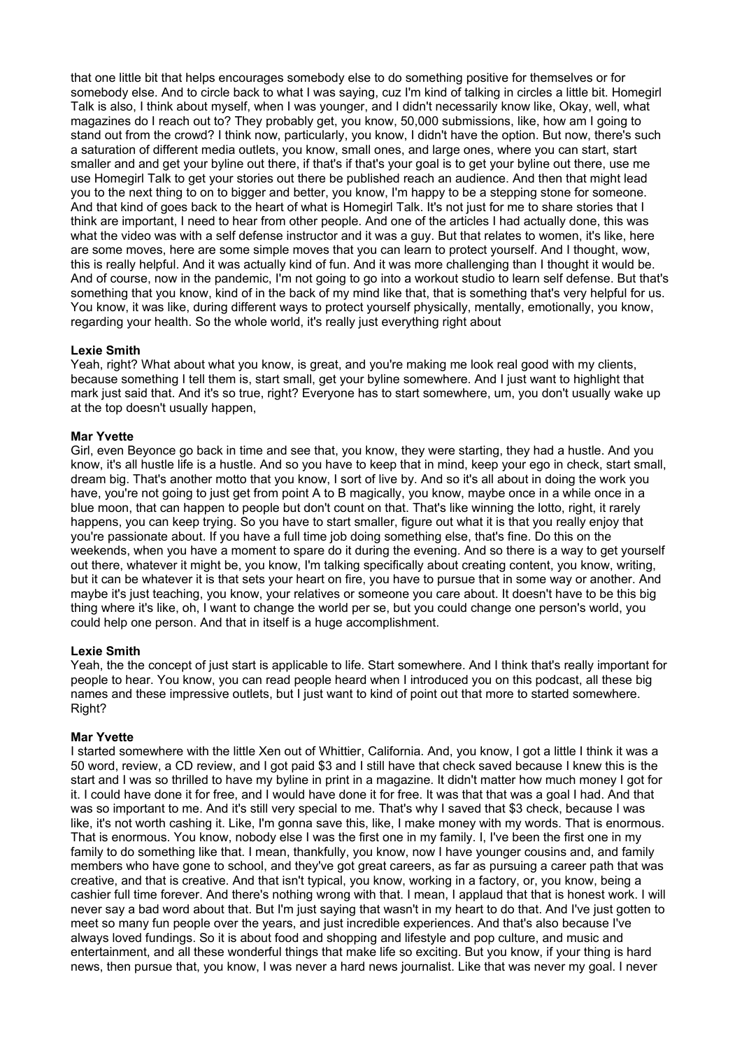that one little bit that helps encourages somebody else to do something positive for themselves or for somebody else. And to circle back to what I was saying, cuz I'm kind of talking in circles a little bit. Homegirl Talk is also, I think about myself, when I was younger, and I didn't necessarily know like, Okay, well, what magazines do I reach out to? They probably get, you know, 50,000 submissions, like, how am I going to stand out from the crowd? I think now, particularly, you know, I didn't have the option. But now, there's such a saturation of different media outlets, you know, small ones, and large ones, where you can start, start smaller and and get your byline out there, if that's if that's your goal is to get your byline out there, use me use Homegirl Talk to get your stories out there be published reach an audience. And then that might lead you to the next thing to on to bigger and better, you know, I'm happy to be a stepping stone for someone. And that kind of goes back to the heart of what is Homegirl Talk. It's not just for me to share stories that I think are important, I need to hear from other people. And one of the articles I had actually done, this was what the video was with a self defense instructor and it was a guy. But that relates to women, it's like, here are some moves, here are some simple moves that you can learn to protect yourself. And I thought, wow, this is really helpful. And it was actually kind of fun. And it was more challenging than I thought it would be. And of course, now in the pandemic, I'm not going to go into a workout studio to learn self defense. But that's something that you know, kind of in the back of my mind like that, that is something that's very helpful for us. You know, it was like, during different ways to protect yourself physically, mentally, emotionally, you know, regarding your health. So the whole world, it's really just everything right about

# **Lexie Smith**

Yeah, right? What about what you know, is great, and you're making me look real good with my clients, because something I tell them is, start small, get your byline somewhere. And I just want to highlight that mark just said that. And it's so true, right? Everyone has to start somewhere, um, you don't usually wake up at the top doesn't usually happen,

# **Mar Yvette**

Girl, even Beyonce go back in time and see that, you know, they were starting, they had a hustle. And you know, it's all hustle life is a hustle. And so you have to keep that in mind, keep your ego in check, start small, dream big. That's another motto that you know, I sort of live by. And so it's all about in doing the work you have, you're not going to just get from point A to B magically, you know, maybe once in a while once in a blue moon, that can happen to people but don't count on that. That's like winning the lotto, right, it rarely happens, you can keep trying. So you have to start smaller, figure out what it is that you really enjoy that you're passionate about. If you have a full time job doing something else, that's fine. Do this on the weekends, when you have a moment to spare do it during the evening. And so there is a way to get yourself out there, whatever it might be, you know, I'm talking specifically about creating content, you know, writing, but it can be whatever it is that sets your heart on fire, you have to pursue that in some way or another. And maybe it's just teaching, you know, your relatives or someone you care about. It doesn't have to be this big thing where it's like, oh, I want to change the world per se, but you could change one person's world, you could help one person. And that in itself is a huge accomplishment.

# **Lexie Smith**

Yeah, the the concept of just start is applicable to life. Start somewhere. And I think that's really important for people to hear. You know, you can read people heard when I introduced you on this podcast, all these big names and these impressive outlets, but I just want to kind of point out that more to started somewhere. Right?

# **Mar Yvette**

I started somewhere with the little Xen out of Whittier, California. And, you know, I got a little I think it was a 50 word, review, a CD review, and I got paid \$3 and I still have that check saved because I knew this is the start and I was so thrilled to have my byline in print in a magazine. It didn't matter how much money I got for it. I could have done it for free, and I would have done it for free. It was that that was a goal I had. And that was so important to me. And it's still very special to me. That's why I saved that \$3 check, because I was like, it's not worth cashing it. Like, I'm gonna save this, like, I make money with my words. That is enormous. That is enormous. You know, nobody else I was the first one in my family. I, I've been the first one in my family to do something like that. I mean, thankfully, you know, now I have younger cousins and, and family members who have gone to school, and they've got great careers, as far as pursuing a career path that was creative, and that is creative. And that isn't typical, you know, working in a factory, or, you know, being a cashier full time forever. And there's nothing wrong with that. I mean, I applaud that that is honest work. I will never say a bad word about that. But I'm just saying that wasn't in my heart to do that. And I've just gotten to meet so many fun people over the years, and just incredible experiences. And that's also because I've always loved fundings. So it is about food and shopping and lifestyle and pop culture, and music and entertainment, and all these wonderful things that make life so exciting. But you know, if your thing is hard news, then pursue that, you know, I was never a hard news journalist. Like that was never my goal. I never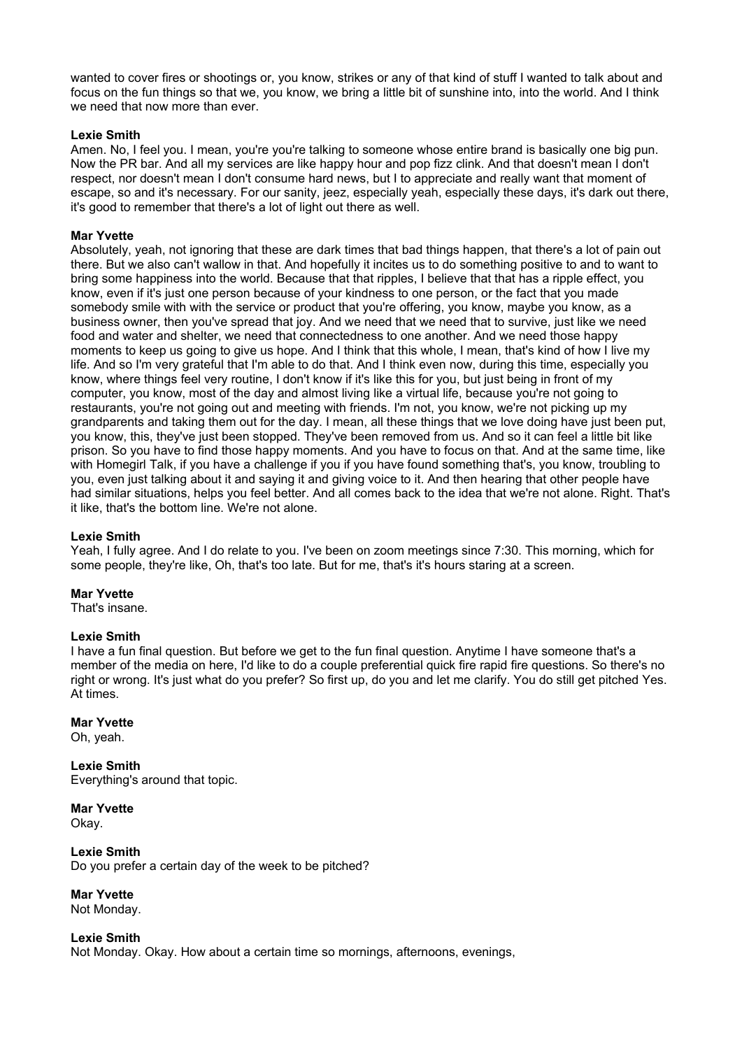wanted to cover fires or shootings or, you know, strikes or any of that kind of stuff I wanted to talk about and focus on the fun things so that we, you know, we bring a little bit of sunshine into, into the world. And I think we need that now more than ever.

# **Lexie Smith**

Amen. No, I feel you. I mean, you're you're talking to someone whose entire brand is basically one big pun. Now the PR bar. And all my services are like happy hour and pop fizz clink. And that doesn't mean I don't respect, nor doesn't mean I don't consume hard news, but I to appreciate and really want that moment of escape, so and it's necessary. For our sanity, jeez, especially yeah, especially these days, it's dark out there, it's good to remember that there's a lot of light out there as well.

# **Mar Yvette**

Absolutely, yeah, not ignoring that these are dark times that bad things happen, that there's a lot of pain out there. But we also can't wallow in that. And hopefully it incites us to do something positive to and to want to bring some happiness into the world. Because that that ripples, I believe that that has a ripple effect, you know, even if it's just one person because of your kindness to one person, or the fact that you made somebody smile with with the service or product that you're offering, you know, maybe you know, as a business owner, then you've spread that joy. And we need that we need that to survive, just like we need food and water and shelter, we need that connectedness to one another. And we need those happy moments to keep us going to give us hope. And I think that this whole, I mean, that's kind of how I live my life. And so I'm very grateful that I'm able to do that. And I think even now, during this time, especially you know, where things feel very routine, I don't know if it's like this for you, but just being in front of my computer, you know, most of the day and almost living like a virtual life, because you're not going to restaurants, you're not going out and meeting with friends. I'm not, you know, we're not picking up my grandparents and taking them out for the day. I mean, all these things that we love doing have just been put, you know, this, they've just been stopped. They've been removed from us. And so it can feel a little bit like prison. So you have to find those happy moments. And you have to focus on that. And at the same time, like with Homegirl Talk, if you have a challenge if you if you have found something that's, you know, troubling to you, even just talking about it and saying it and giving voice to it. And then hearing that other people have had similar situations, helps you feel better. And all comes back to the idea that we're not alone. Right. That's it like, that's the bottom line. We're not alone.

# **Lexie Smith**

Yeah, I fully agree. And I do relate to you. I've been on zoom meetings since 7:30. This morning, which for some people, they're like, Oh, that's too late. But for me, that's it's hours staring at a screen.

# **Mar Yvette**

That's insane.

# **Lexie Smith**

I have a fun final question. But before we get to the fun final question. Anytime I have someone that's a member of the media on here, I'd like to do a couple preferential quick fire rapid fire questions. So there's no right or wrong. It's just what do you prefer? So first up, do you and let me clarify. You do still get pitched Yes. At times.

# **Mar Yvette**

Oh, yeah.

**Lexie Smith** Everything's around that topic.

**Mar Yvette**  Okay.

**Lexie Smith** Do you prefer a certain day of the week to be pitched?

**Mar Yvette** 

Not Monday.

# **Lexie Smith**

Not Monday. Okay. How about a certain time so mornings, afternoons, evenings,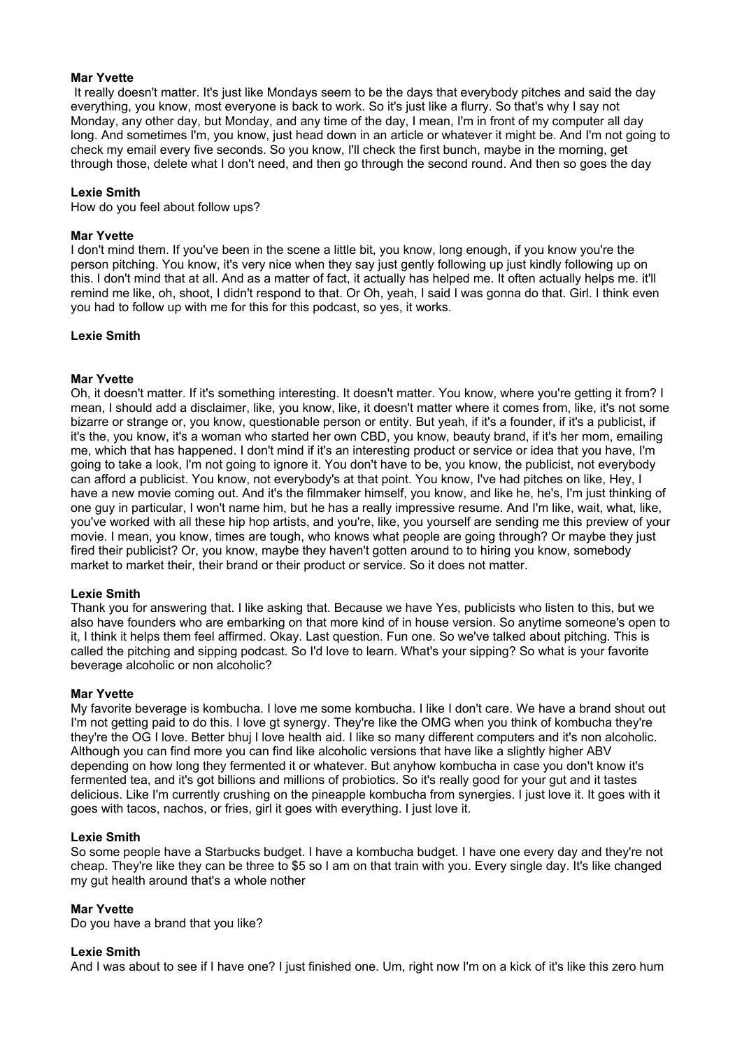# **Mar Yvette**

 It really doesn't matter. It's just like Mondays seem to be the days that everybody pitches and said the day everything, you know, most everyone is back to work. So it's just like a flurry. So that's why I say not Monday, any other day, but Monday, and any time of the day, I mean, I'm in front of my computer all day long. And sometimes I'm, you know, just head down in an article or whatever it might be. And I'm not going to check my email every five seconds. So you know, I'll check the first bunch, maybe in the morning, get through those, delete what I don't need, and then go through the second round. And then so goes the day

#### **Lexie Smith**

How do you feel about follow ups?

#### **Mar Yvette**

I don't mind them. If you've been in the scene a little bit, you know, long enough, if you know you're the person pitching. You know, it's very nice when they say just gently following up just kindly following up on this. I don't mind that at all. And as a matter of fact, it actually has helped me. It often actually helps me. it'll remind me like, oh, shoot, I didn't respond to that. Or Oh, yeah, I said I was gonna do that. Girl. I think even you had to follow up with me for this for this podcast, so yes, it works.

#### **Lexie Smith**

# **Mar Yvette**

Oh, it doesn't matter. If it's something interesting. It doesn't matter. You know, where you're getting it from? I mean, I should add a disclaimer, like, you know, like, it doesn't matter where it comes from, like, it's not some bizarre or strange or, you know, questionable person or entity. But yeah, if it's a founder, if it's a publicist, if it's the, you know, it's a woman who started her own CBD, you know, beauty brand, if it's her mom, emailing me, which that has happened. I don't mind if it's an interesting product or service or idea that you have, I'm going to take a look, I'm not going to ignore it. You don't have to be, you know, the publicist, not everybody can afford a publicist. You know, not everybody's at that point. You know, I've had pitches on like, Hey, I have a new movie coming out. And it's the filmmaker himself, you know, and like he, he's, I'm just thinking of one guy in particular, I won't name him, but he has a really impressive resume. And I'm like, wait, what, like, you've worked with all these hip hop artists, and you're, like, you yourself are sending me this preview of your movie. I mean, you know, times are tough, who knows what people are going through? Or maybe they just fired their publicist? Or, you know, maybe they haven't gotten around to to hiring you know, somebody market to market their, their brand or their product or service. So it does not matter.

# **Lexie Smith**

Thank you for answering that. I like asking that. Because we have Yes, publicists who listen to this, but we also have founders who are embarking on that more kind of in house version. So anytime someone's open to it, I think it helps them feel affirmed. Okay. Last question. Fun one. So we've talked about pitching. This is called the pitching and sipping podcast. So I'd love to learn. What's your sipping? So what is your favorite beverage alcoholic or non alcoholic?

#### **Mar Yvette**

My favorite beverage is kombucha. I love me some kombucha. I like I don't care. We have a brand shout out I'm not getting paid to do this. I love gt synergy. They're like the OMG when you think of kombucha they're they're the OG I love. Better bhuj I love health aid. I like so many different computers and it's non alcoholic. Although you can find more you can find like alcoholic versions that have like a slightly higher ABV depending on how long they fermented it or whatever. But anyhow kombucha in case you don't know it's fermented tea, and it's got billions and millions of probiotics. So it's really good for your gut and it tastes delicious. Like I'm currently crushing on the pineapple kombucha from synergies. I just love it. It goes with it goes with tacos, nachos, or fries, girl it goes with everything. I just love it.

#### **Lexie Smith**

So some people have a Starbucks budget. I have a kombucha budget. I have one every day and they're not cheap. They're like they can be three to \$5 so I am on that train with you. Every single day. It's like changed my gut health around that's a whole nother

#### **Mar Yvette**

Do you have a brand that you like?

# **Lexie Smith**

And I was about to see if I have one? I just finished one. Um, right now I'm on a kick of it's like this zero hum